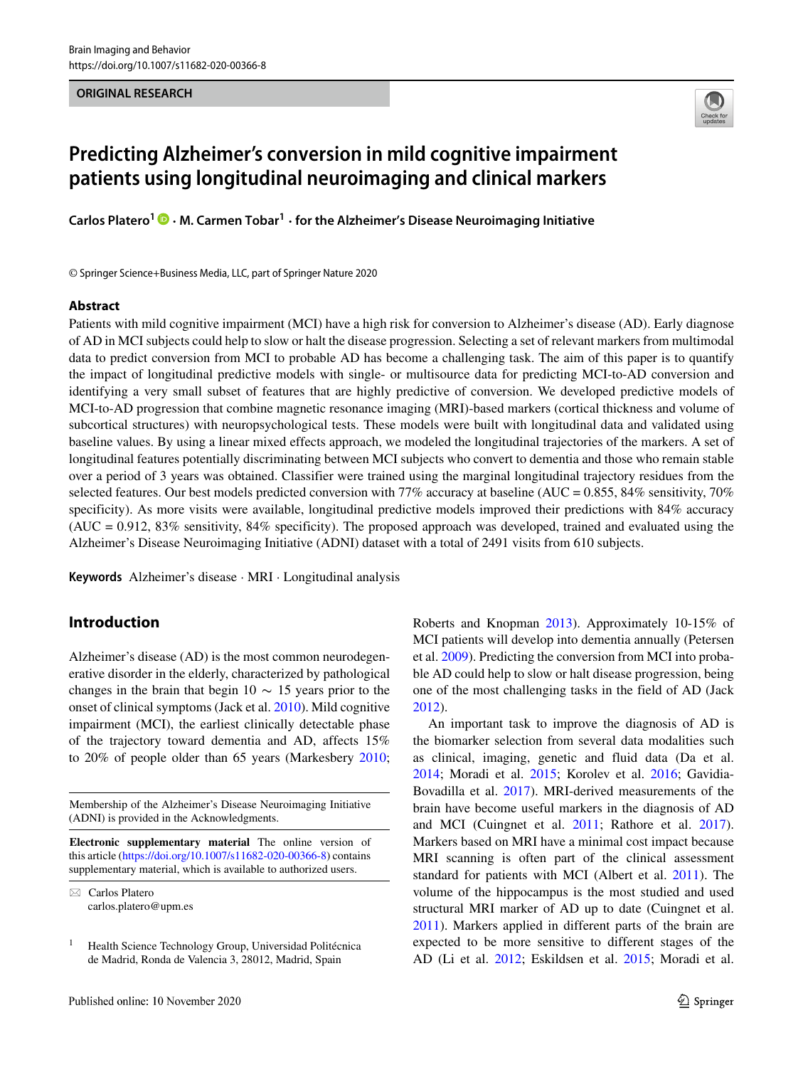**ORIGINAL RESEARCH**



# **Predicting Alzheimer's conversion in mild cognitive impairment patients using longitudinal neuroimaging and clinical markers**

**Carlos Platero1 · M. Carmen Tobar<sup>1</sup> · for the Alzheimer's Disease Neuroimaging Initiative**

© Springer Science+Business Media, LLC, part of Springer Nature 2020

#### **Abstract**

Patients with mild cognitive impairment (MCI) have a high risk for conversion to Alzheimer's disease (AD). Early diagnose of AD in MCI subjects could help to slow or halt the disease progression. Selecting a set of relevant markers from multimodal data to predict conversion from MCI to probable AD has become a challenging task. The aim of this paper is to quantify the impact of longitudinal predictive models with single- or multisource data for predicting MCI-to-AD conversion and identifying a very small subset of features that are highly predictive of conversion. We developed predictive models of MCI-to-AD progression that combine magnetic resonance imaging (MRI)-based markers (cortical thickness and volume of subcortical structures) with neuropsychological tests. These models were built with longitudinal data and validated using baseline values. By using a linear mixed effects approach, we modeled the longitudinal trajectories of the markers. A set of longitudinal features potentially discriminating between MCI subjects who convert to dementia and those who remain stable over a period of 3 years was obtained. Classifier were trained using the marginal longitudinal trajectory residues from the selected features. Our best models predicted conversion with 77% accuracy at baseline (AUC = 0.855, 84% sensitivity, 70% specificity). As more visits were available, longitudinal predictive models improved their predictions with 84% accuracy  $(AUC = 0.912, 83\%$  sensitivity,  $84\%$  specificity). The proposed approach was developed, trained and evaluated using the Alzheimer's Disease Neuroimaging Initiative (ADNI) dataset with a total of 2491 visits from 610 subjects.

**Keywords** Alzheimer's disease · MRI · Longitudinal analysis

#### **Introduction**

Alzheimer's disease (AD) is the most common neurodegenerative disorder in the elderly, characterized by pathological changes in the brain that begin  $10 \sim 15$  years prior to the onset of clinical symptoms (Jack et al. [2010\)](#page-9-0). Mild cognitive impairment (MCI), the earliest clinically detectable phase of the trajectory toward dementia and AD, affects 15% to 20% of people older than 65 years (Markesbery [2010;](#page-10-0)

Membership of the Alzheimer's Disease Neuroimaging Initiative (ADNI) is provided in the Acknowledgments.

**Electronic supplementary material** The online version of this article [\(https://doi.org/10.1007/s11682-020-00366-8\)](https://doi.org/10.1007/s11682-020-00366-8) contains supplementary material, which is available to authorized users.

Roberts and Knopman [2013\)](#page-10-1). Approximately 10-15% of MCI patients will develop into dementia annually (Petersen et al. [2009\)](#page-10-2). Predicting the conversion from MCI into probable AD could help to slow or halt disease progression, being one of the most challenging tasks in the field of AD (Jack [2012\)](#page-9-1).

An important task to improve the diagnosis of AD is the biomarker selection from several data modalities such as clinical, imaging, genetic and fluid data (Da et al. [2014;](#page-9-2) Moradi et al. [2015;](#page-10-3) Korolev et al. [2016;](#page-9-3) Gavidia-Bovadilla et al. [2017\)](#page-9-4). MRI-derived measurements of the brain have become useful markers in the diagnosis of AD and MCI (Cuingnet et al. [2011;](#page-9-5) Rathore et al. [2017\)](#page-10-4). Markers based on MRI have a minimal cost impact because MRI scanning is often part of the clinical assessment standard for patients with MCI (Albert et al. [2011\)](#page-9-6). The volume of the hippocampus is the most studied and used structural MRI marker of AD up to date (Cuingnet et al. [2011\)](#page-9-5). Markers applied in different parts of the brain are expected to be more sensitive to different stages of the AD (Li et al. [2012;](#page-10-5) Eskildsen et al. [2015;](#page-9-7) Moradi et al.

<sup>-</sup> Carlos Platero [carlos.platero@upm.es](mailto: carlos.platero@upm.es)

 $1$  Health Science Technology Group, Universidad Politécnica de Madrid, Ronda de Valencia 3, 28012, Madrid, Spain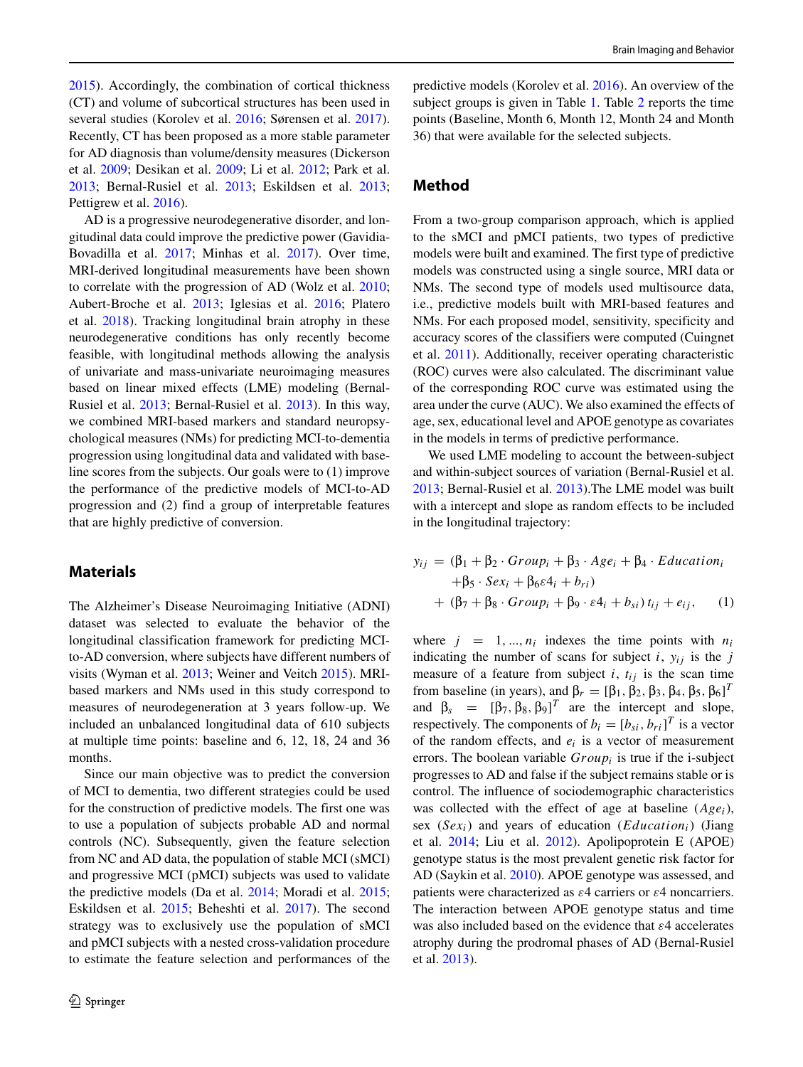[2015\)](#page-10-3). Accordingly, the combination of cortical thickness (CT) and volume of subcortical structures has been used in several studies (Korolev et al. [2016;](#page-9-3) Sørensen et al. [2017\)](#page-10-6). Recently, CT has been proposed as a more stable parameter for AD diagnosis than volume/density measures (Dickerson et al. [2009;](#page-9-8) Desikan et al. [2009;](#page-9-9) Li et al. [2012;](#page-10-5) Park et al. [2013;](#page-10-7) Bernal-Rusiel et al. [2013;](#page-9-10) Eskildsen et al. [2013;](#page-9-11) Pettigrew et al. [2016\)](#page-10-8).

AD is a progressive neurodegenerative disorder, and longitudinal data could improve the predictive power (Gavidia-Bovadilla et al. [2017;](#page-9-4) Minhas et al. [2017\)](#page-10-9). Over time, MRI-derived longitudinal measurements have been shown to correlate with the progression of AD (Wolz et al. [2010;](#page-10-10) Aubert-Broche et al. [2013;](#page-9-12) Iglesias et al. [2016;](#page-9-13) Platero et al. [2018\)](#page-10-11). Tracking longitudinal brain atrophy in these neurodegenerative conditions has only recently become feasible, with longitudinal methods allowing the analysis of univariate and mass-univariate neuroimaging measures based on linear mixed effects (LME) modeling (Bernal-Rusiel et al. [2013;](#page-9-14) Bernal-Rusiel et al. [2013\)](#page-9-10). In this way, we combined MRI-based markers and standard neuropsychological measures (NMs) for predicting MCI-to-dementia progression using longitudinal data and validated with baseline scores from the subjects. Our goals were to (1) improve the performance of the predictive models of MCI-to-AD progression and (2) find a group of interpretable features that are highly predictive of conversion.

#### **Materials**

The Alzheimer's Disease Neuroimaging Initiative (ADNI) dataset was selected to evaluate the behavior of the longitudinal classification framework for predicting MCIto-AD conversion, where subjects have different numbers of visits (Wyman et al. [2013;](#page-10-12) Weiner and Veitch [2015\)](#page-10-13). MRIbased markers and NMs used in this study correspond to measures of neurodegeneration at 3 years follow-up. We included an unbalanced longitudinal data of 610 subjects at multiple time points: baseline and 6, 12, 18, 24 and 36 months.

Since our main objective was to predict the conversion of MCI to dementia, two different strategies could be used for the construction of predictive models. The first one was to use a population of subjects probable AD and normal controls (NC). Subsequently, given the feature selection from NC and AD data, the population of stable MCI (sMCI) and progressive MCI (pMCI) subjects was used to validate the predictive models (Da et al. [2014;](#page-9-2) Moradi et al. [2015;](#page-10-3) Eskildsen et al. [2015;](#page-9-7) Beheshti et al. [2017\)](#page-9-15). The second strategy was to exclusively use the population of sMCI and pMCI subjects with a nested cross-validation procedure to estimate the feature selection and performances of the predictive models (Korolev et al. [2016\)](#page-9-3). An overview of the subject groups is given in Table [1.](#page-2-0) Table [2](#page-2-1) reports the time points (Baseline, Month 6, Month 12, Month 24 and Month 36) that were available for the selected subjects.

## **Method**

From a two-group comparison approach, which is applied to the sMCI and pMCI patients, two types of predictive models were built and examined. The first type of predictive models was constructed using a single source, MRI data or NMs. The second type of models used multisource data, i.e., predictive models built with MRI-based features and NMs. For each proposed model, sensitivity, specificity and accuracy scores of the classifiers were computed (Cuingnet et al. [2011\)](#page-9-5). Additionally, receiver operating characteristic (ROC) curves were also calculated. The discriminant value of the corresponding ROC curve was estimated using the area under the curve (AUC). We also examined the effects of age, sex, educational level and APOE genotype as covariates in the models in terms of predictive performance.

We used LME modeling to account the between-subject and within-subject sources of variation (Bernal-Rusiel et al. [2013;](#page-9-14) Bernal-Rusiel et al. [2013\)](#page-9-10).The LME model was built with a intercept and slope as random effects to be included in the longitudinal trajectory:

$$
y_{ij} = (\beta_1 + \beta_2 \cdot Group_i + \beta_3 \cdot Age_i + \beta_4 \cdot Education_i
$$
  
+  $\beta_5 \cdot Sex_i + \beta_6\epsilon 4_i + b_{ri}$   
+  $(\beta_7 + \beta_8 \cdot Group_i + \beta_9 \cdot \epsilon 4_i + b_{si}) t_{ij} + e_{ij}$ , (1)

where  $j = 1, ..., n_i$  indexes the time points with  $n_i$ indicating the number of scans for subject  $i$ ,  $y_{ij}$  is the  $j$ measure of a feature from subject  $i$ ,  $t_{ij}$  is the scan time from baseline (in years), and  $\beta_r = [\beta_1, \beta_2, \beta_3, \beta_4, \beta_5, \beta_6]^T$ and  $\beta_s = [\beta_7, \beta_8, \beta_9]^T$  are the intercept and slope, respectively. The components of  $b_i = [b_{si}, b_{ri}]^T$  is a vector of the random effects, and *ei* is a vector of measurement errors. The boolean variable *Groupi* is true if the i-subject progresses to AD and false if the subject remains stable or is control. The influence of sociodemographic characteristics was collected with the effect of age at baseline (*Agei*), sex (*Sex<sub>i</sub>*) and years of education (*Education<sub>i</sub>*) (Jiang et al. [2014;](#page-9-16) Liu et al. [2012\)](#page-10-14). Apolipoprotein E (APOE) genotype status is the most prevalent genetic risk factor for AD (Saykin et al. [2010\)](#page-10-15). APOE genotype was assessed, and patients were characterized as *ε*4 carriers or *ε*4 noncarriers. The interaction between APOE genotype status and time was also included based on the evidence that *ε*4 accelerates atrophy during the prodromal phases of AD (Bernal-Rusiel et al. [2013\)](#page-9-14).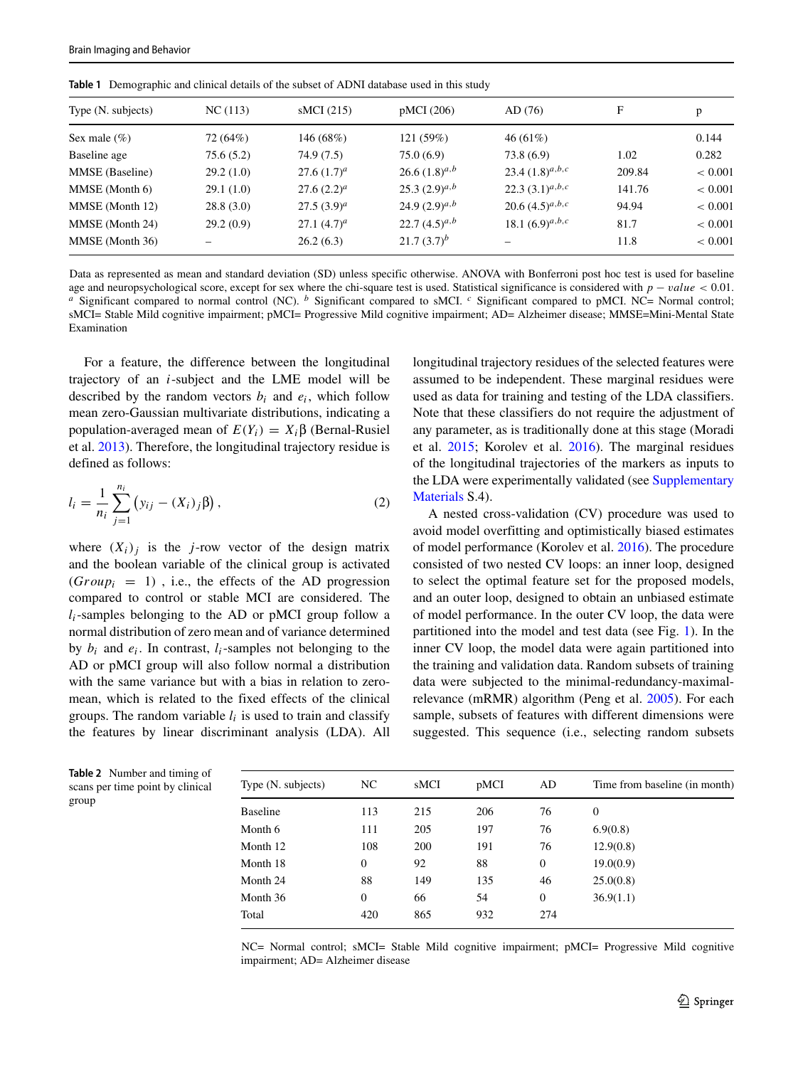| Type (N. subjects) | NC(113)   | sMCI(215)       | pMCI(206)          | AD(76)               | F      | p           |
|--------------------|-----------|-----------------|--------------------|----------------------|--------|-------------|
| Sex male $(\%)$    | 72 (64%)  | 146 (68%)       | 121 (59%)          | $46(61\%)$           |        | 0.144       |
| Baseline age       | 75.6(5.2) | 74.9 (7.5)      | 75.0(6.9)          | 73.8 (6.9)           | 1.02   | 0.282       |
| MMSE (Baseline)    | 29.2(1.0) | 27.6 $(1.7)^a$  | 26.6 $(1.8)^{a,b}$ | 23.4 $(1.8)^{a,b,c}$ | 209.84 | ${}< 0.001$ |
| MMSE (Month 6)     | 29.1(1.0) | $27.6(2.2)^a$   | 25.3 $(2.9)^{a,b}$ | 22.3 $(3.1)^{a,b,c}$ | 141.76 | < 0.001     |
| MMSE (Month 12)    | 28.8(3.0) | $27.5(3.9)^{a}$ | 24.9 $(2.9)^{a,b}$ | 20.6 $(4.5)^{a,b,c}$ | 94.94  | < 0.001     |
| MMSE (Month 24)    | 29.2(0.9) | 27.1 $(4.7)^a$  | 22.7 $(4.5)^{a,b}$ | 18.1 $(6.9)^{a,b,c}$ | 81.7   | < 0.001     |
| MMSE (Month 36)    |           | 26.2(6.3)       | $21.7(3.7)^b$      |                      | 11.8   | < 0.001     |

<span id="page-2-0"></span>**Table 1** Demographic and clinical details of the subset of ADNI database used in this study

Data as represented as mean and standard deviation (SD) unless specific otherwise. ANOVA with Bonferroni post hoc test is used for baseline age and neuropsychological score, except for sex where the chi-square test is used. Statistical significance is considered with  $p - value < 0.01$ .<br><sup>a</sup> Significant compared to normal control (NC). <sup>b</sup> Significant compared to sMC sMCI= Stable Mild cognitive impairment; pMCI= Progressive Mild cognitive impairment; AD= Alzheimer disease; MMSE=Mini-Mental State Examination

For a feature, the difference between the longitudinal trajectory of an *i*-subject and the LME model will be described by the random vectors  $b_i$  and  $e_i$ , which follow mean zero-Gaussian multivariate distributions, indicating a population-averaged mean of *E(Yi)* = *Xi*β (Bernal-Rusiel et al. [2013\)](#page-9-14). Therefore, the longitudinal trajectory residue is defined as follows:

$$
l_i = \frac{1}{n_i} \sum_{j=1}^{n_i} (y_{ij} - (X_i)_j \beta),
$$
 (2)

where  $(X_i)_i$  is the *j*-row vector of the design matrix and the boolean variable of the clinical group is activated  $(Group_i = 1)$ , i.e., the effects of the AD progression compared to control or stable MCI are considered. The  $l_i$ -samples belonging to the AD or pMCI group follow a normal distribution of zero mean and of variance determined by  $b_i$  and  $e_i$ . In contrast,  $l_i$ -samples not belonging to the AD or pMCI group will also follow normal a distribution with the same variance but with a bias in relation to zeromean, which is related to the fixed effects of the clinical groups. The random variable  $l_i$  is used to train and classify the features by linear discriminant analysis (LDA). All

longitudinal trajectory residues of the selected features were assumed to be independent. These marginal residues were used as data for training and testing of the LDA classifiers. Note that these classifiers do not require the adjustment of any parameter, as is traditionally done at this stage (Moradi et al. [2015;](#page-10-3) Korolev et al. [2016\)](#page-9-3). The marginal residues of the longitudinal trajectories of the markers as inputs to the LDA were experimentally validated (see Supplementary Materials S.4).

A nested cross-validation (CV) procedure was used to avoid model overfitting and optimistically biased estimates of model performance (Korolev et al. [2016\)](#page-9-3). The procedure consisted of two nested CV loops: an inner loop, designed to select the optimal feature set for the proposed models, and an outer loop, designed to obtain an unbiased estimate of model performance. In the outer CV loop, the data were partitioned into the model and test data (see Fig. [1\)](#page-3-0). In the inner CV loop, the model data were again partitioned into the training and validation data. Random subsets of training data were subjected to the minimal-redundancy-maximalrelevance (mRMR) algorithm (Peng et al. [2005\)](#page-10-16). For each sample, subsets of features with different dimensions were suggested. This sequence (i.e., selecting random subsets

| Type (N. subjects) | NC             | sMCI | pMCI | AD             | Time from baseline (in month) |
|--------------------|----------------|------|------|----------------|-------------------------------|
| <b>Baseline</b>    | 113            | 215  | 206  | 76             | $\theta$                      |
| Month 6            | 111            | 205  | 197  | 76             | 6.9(0.8)                      |
| Month 12           | 108            | 200  | 191  | 76             | 12.9(0.8)                     |
| Month 18           | $\overline{0}$ | 92   | 88   | $\mathbf{0}$   | 19.0(0.9)                     |
| Month 24           | 88             | 149  | 135  | 46             | 25.0(0.8)                     |
| Month 36           | $\overline{0}$ | 66   | 54   | $\overline{0}$ | 36.9(1.1)                     |
| Total              | 420            | 865  | 932  | 274            |                               |

NC= Normal control; sMCI= Stable Mild cognitive impairment; pMCI= Progressive Mild cognitive impairment; AD= Alzheimer disease

<span id="page-2-1"></span>**Table 2** Number and timing of scans per time point by clinical group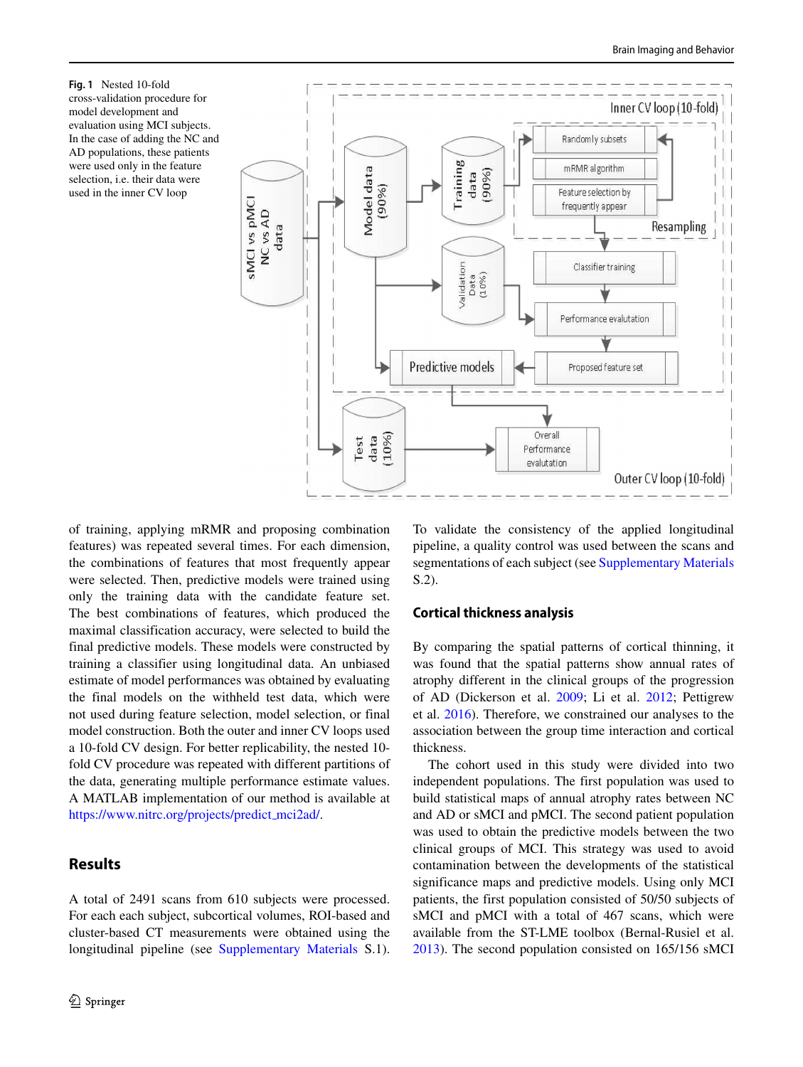<span id="page-3-0"></span>**Fig. 1** Nested 10-fold cross-validation procedure for model development and evaluation using MCI subjects. In the case of adding the NC and AD populations, these patients were used only in the feature selection, i.e. their data were used in the inner CV loop



of training, applying mRMR and proposing combination features) was repeated several times. For each dimension, the combinations of features that most frequently appear were selected. Then, predictive models were trained using only the training data with the candidate feature set. The best combinations of features, which produced the maximal classification accuracy, were selected to build the final predictive models. These models were constructed by training a classifier using longitudinal data. An unbiased estimate of model performances was obtained by evaluating the final models on the withheld test data, which were not used during feature selection, model selection, or final model construction. Both the outer and inner CV loops used a 10-fold CV design. For better replicability, the nested 10 fold CV procedure was repeated with different partitions of the data, generating multiple performance estimate values. A MATLAB implementation of our method is available at [https://www.nitrc.org/projects/predict](https://www.nitrc.org/projects/predict_mci2ad/) mci2ad/.

## **Results**

A total of 2491 scans from 610 subjects were processed. For each each subject, subcortical volumes, ROI-based and cluster-based CT measurements were obtained using the longitudinal pipeline (see Supplementary Materials S.1).

To validate the consistency of the applied longitudinal pipeline, a quality control was used between the scans and segmentations of each subject (see Supplementary Materials S.2).

## **Cortical thickness analysis**

By comparing the spatial patterns of cortical thinning, it was found that the spatial patterns show annual rates of atrophy different in the clinical groups of the progression of AD (Dickerson et al. [2009;](#page-9-8) Li et al. [2012;](#page-10-5) Pettigrew et al. [2016\)](#page-10-8). Therefore, we constrained our analyses to the association between the group time interaction and cortical thickness.

The cohort used in this study were divided into two independent populations. The first population was used to build statistical maps of annual atrophy rates between NC and AD or sMCI and pMCI. The second patient population was used to obtain the predictive models between the two clinical groups of MCI. This strategy was used to avoid contamination between the developments of the statistical significance maps and predictive models. Using only MCI patients, the first population consisted of 50/50 subjects of sMCI and pMCI with a total of 467 scans, which were available from the ST-LME toolbox (Bernal-Rusiel et al. [2013\)](#page-9-10). The second population consisted on 165/156 sMCI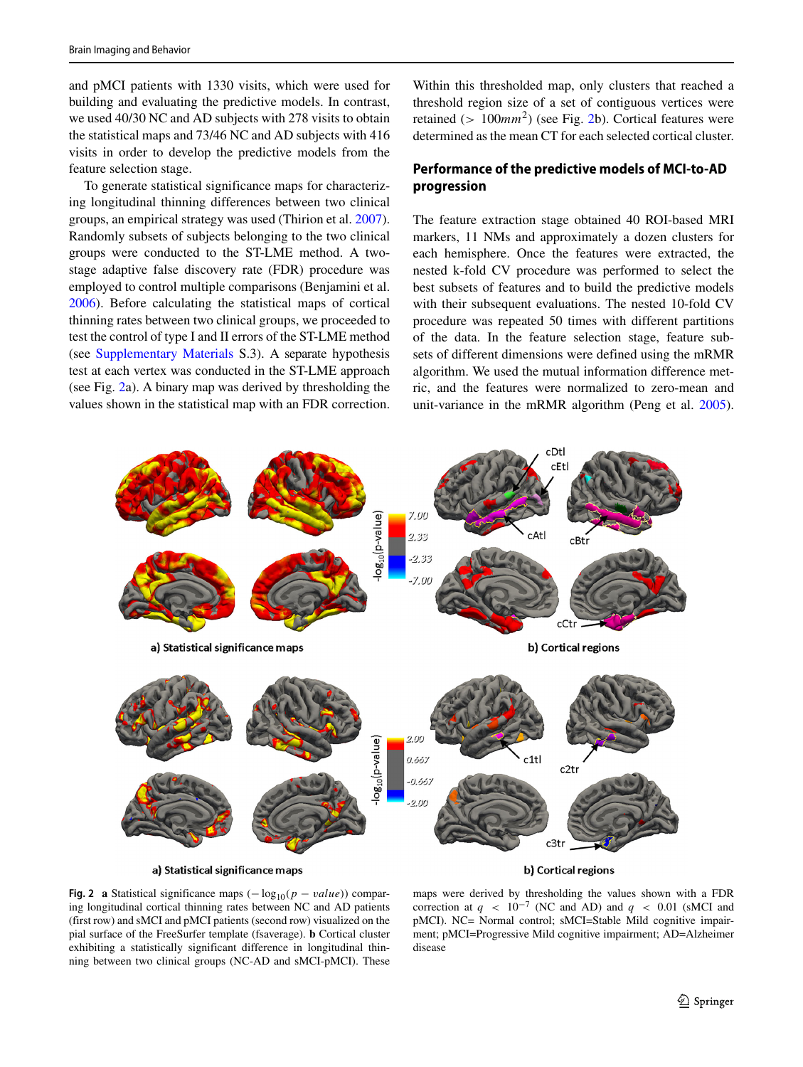and pMCI patients with 1330 visits, which were used for building and evaluating the predictive models. In contrast, we used 40/30 NC and AD subjects with 278 visits to obtain the statistical maps and 73/46 NC and AD subjects with 416 visits in order to develop the predictive models from the feature selection stage.

To generate statistical significance maps for characterizing longitudinal thinning differences between two clinical groups, an empirical strategy was used (Thirion et al. [2007\)](#page-10-17). Randomly subsets of subjects belonging to the two clinical groups were conducted to the ST-LME method. A twostage adaptive false discovery rate (FDR) procedure was employed to control multiple comparisons (Benjamini et al. [2006\)](#page-9-17). Before calculating the statistical maps of cortical thinning rates between two clinical groups, we proceeded to test the control of type I and II errors of the ST-LME method (see Supplementary Materials S.3). A separate hypothesis test at each vertex was conducted in the ST-LME approach (see Fig. [2a](#page-4-0)). A binary map was derived by thresholding the values shown in the statistical map with an FDR correction.

Within this thresholded map, only clusters that reached a threshold region size of a set of contiguous vertices were retained (*>* 100*mm*2) (see Fig. [2b](#page-4-0)). Cortical features were determined as the mean CT for each selected cortical cluster.

## **Performance of the predictive models of MCI-to-AD progression**

The feature extraction stage obtained 40 ROI-based MRI markers, 11 NMs and approximately a dozen clusters for each hemisphere. Once the features were extracted, the nested k-fold CV procedure was performed to select the best subsets of features and to build the predictive models with their subsequent evaluations. The nested 10-fold CV procedure was repeated 50 times with different partitions of the data. In the feature selection stage, feature subsets of different dimensions were defined using the mRMR algorithm. We used the mutual information difference metric, and the features were normalized to zero-mean and unit-variance in the mRMR algorithm (Peng et al. [2005\)](#page-10-16).

<span id="page-4-0"></span>

**Fig. 2 a** Statistical significance maps  $(-\log_{10}(p - value))$  comparing longitudinal cortical thinning rates between NC and AD patients (first row) and sMCI and pMCI patients (second row) visualized on the

pial surface of the FreeSurfer template (fsaverage). **b** Cortical cluster exhibiting a statistically significant difference in longitudinal thinning between two clinical groups (NC-AD and sMCI-pMCI). These

maps were derived by thresholding the values shown with a FDR correction at  $q < 10^{-7}$  (NC and AD) and  $q < 0.01$  (sMCI and pMCI). NC= Normal control; sMCI=Stable Mild cognitive impairment; pMCI=Progressive Mild cognitive impairment; AD=Alzheimer disease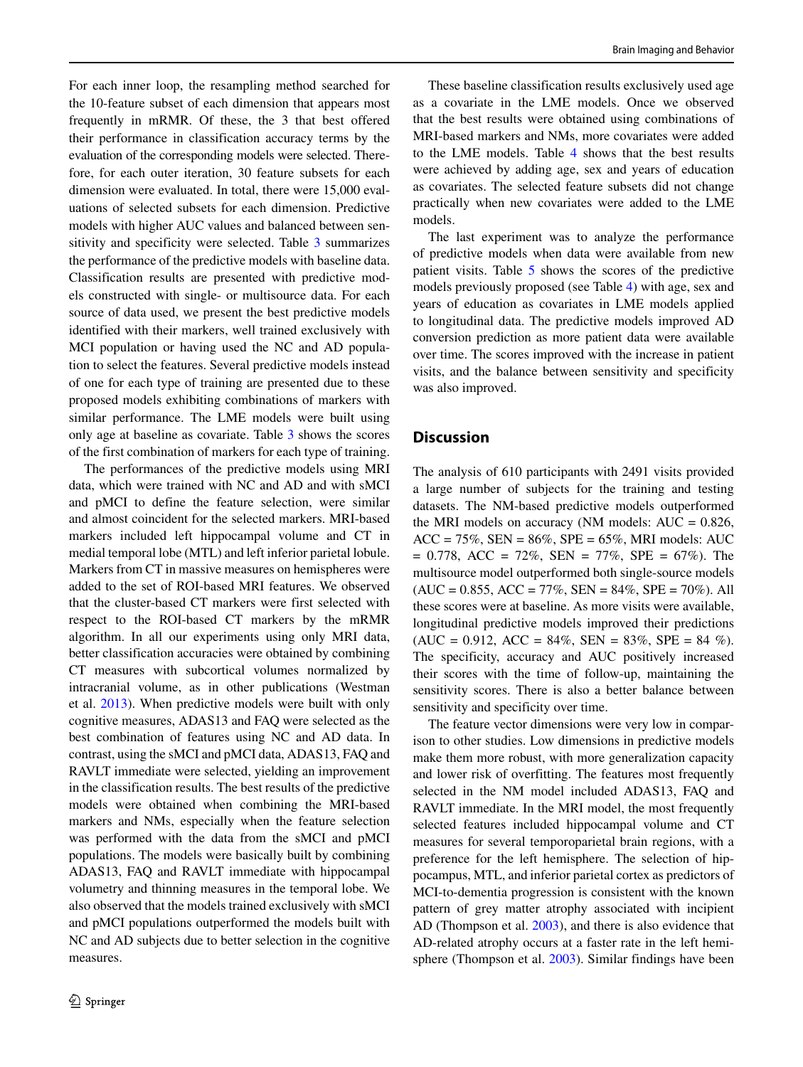For each inner loop, the resampling method searched for the 10-feature subset of each dimension that appears most frequently in mRMR. Of these, the 3 that best offered their performance in classification accuracy terms by the evaluation of the corresponding models were selected. Therefore, for each outer iteration, 30 feature subsets for each dimension were evaluated. In total, there were 15,000 evaluations of selected subsets for each dimension. Predictive models with higher AUC values and balanced between sensitivity and specificity were selected. Table [3](#page-6-0) summarizes the performance of the predictive models with baseline data. Classification results are presented with predictive models constructed with single- or multisource data. For each source of data used, we present the best predictive models identified with their markers, well trained exclusively with MCI population or having used the NC and AD population to select the features. Several predictive models instead of one for each type of training are presented due to these proposed models exhibiting combinations of markers with similar performance. The LME models were built using only age at baseline as covariate. Table [3](#page-6-0) shows the scores of the first combination of markers for each type of training.

The performances of the predictive models using MRI data, which were trained with NC and AD and with sMCI and pMCI to define the feature selection, were similar and almost coincident for the selected markers. MRI-based markers included left hippocampal volume and CT in medial temporal lobe (MTL) and left inferior parietal lobule. Markers from CT in massive measures on hemispheres were added to the set of ROI-based MRI features. We observed that the cluster-based CT markers were first selected with respect to the ROI-based CT markers by the mRMR algorithm. In all our experiments using only MRI data, better classification accuracies were obtained by combining CT measures with subcortical volumes normalized by intracranial volume, as in other publications (Westman et al. [2013\)](#page-10-18). When predictive models were built with only cognitive measures, ADAS13 and FAQ were selected as the best combination of features using NC and AD data. In contrast, using the sMCI and pMCI data, ADAS13, FAQ and RAVLT immediate were selected, yielding an improvement in the classification results. The best results of the predictive models were obtained when combining the MRI-based markers and NMs, especially when the feature selection was performed with the data from the sMCI and pMCI populations. The models were basically built by combining ADAS13, FAQ and RAVLT immediate with hippocampal volumetry and thinning measures in the temporal lobe. We also observed that the models trained exclusively with sMCI and pMCI populations outperformed the models built with NC and AD subjects due to better selection in the cognitive measures.

These baseline classification results exclusively used age as a covariate in the LME models. Once we observed that the best results were obtained using combinations of MRI-based markers and NMs, more covariates were added to the LME models. Table [4](#page-7-0) shows that the best results were achieved by adding age, sex and years of education as covariates. The selected feature subsets did not change practically when new covariates were added to the LME models.

The last experiment was to analyze the performance of predictive models when data were available from new patient visits. Table [5](#page-7-1) shows the scores of the predictive models previously proposed (see Table [4\)](#page-7-0) with age, sex and years of education as covariates in LME models applied to longitudinal data. The predictive models improved AD conversion prediction as more patient data were available over time. The scores improved with the increase in patient visits, and the balance between sensitivity and specificity was also improved.

# **Discussion**

The analysis of 610 participants with 2491 visits provided a large number of subjects for the training and testing datasets. The NM-based predictive models outperformed the MRI models on accuracy (NM models:  $AUC = 0.826$ ,  $ACC = 75\%, SEN = 86\%, SPE = 65\%, MRI models: AUC$  $= 0.778$ , ACC  $= 72\%$ , SEN  $= 77\%$ , SPE  $= 67\%$ ). The multisource model outperformed both single-source models  $(AUC = 0.855, ACC = 77\%, SEN = 84\%, SPE = 70\%). All$ these scores were at baseline. As more visits were available, longitudinal predictive models improved their predictions  $(AUC = 0.912, ACC = 84\%, SEN = 83\%, SPE = 84\%).$ The specificity, accuracy and AUC positively increased their scores with the time of follow-up, maintaining the sensitivity scores. There is also a better balance between sensitivity and specificity over time.

The feature vector dimensions were very low in comparison to other studies. Low dimensions in predictive models make them more robust, with more generalization capacity and lower risk of overfitting. The features most frequently selected in the NM model included ADAS13, FAQ and RAVLT immediate. In the MRI model, the most frequently selected features included hippocampal volume and CT measures for several temporoparietal brain regions, with a preference for the left hemisphere. The selection of hippocampus, MTL, and inferior parietal cortex as predictors of MCI-to-dementia progression is consistent with the known pattern of grey matter atrophy associated with incipient AD (Thompson et al. [2003\)](#page-10-19), and there is also evidence that AD-related atrophy occurs at a faster rate in the left hemisphere (Thompson et al. [2003\)](#page-10-19). Similar findings have been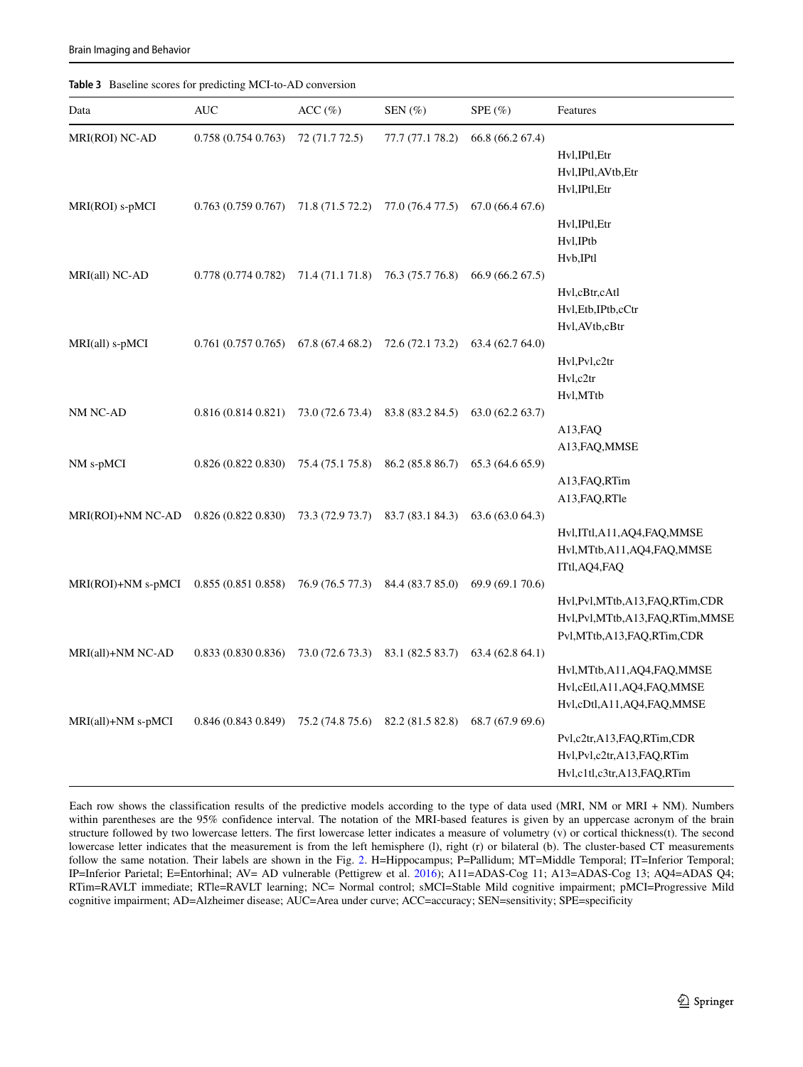| 0.758(0.7540.763) | 72 (71.7 72.5)    | 77.7 (77.1 78.2) | 66.8 (66.2 67.4)                                                                                                                |                                                                                                                                                                                                                                                                                                                        |
|-------------------|-------------------|------------------|---------------------------------------------------------------------------------------------------------------------------------|------------------------------------------------------------------------------------------------------------------------------------------------------------------------------------------------------------------------------------------------------------------------------------------------------------------------|
|                   |                   |                  |                                                                                                                                 | Hvl, IPtl, Etr                                                                                                                                                                                                                                                                                                         |
|                   |                   |                  |                                                                                                                                 | Hvl, IPtl, AVtb, Etr                                                                                                                                                                                                                                                                                                   |
|                   |                   |                  |                                                                                                                                 | Hvl, IPtl, Etr                                                                                                                                                                                                                                                                                                         |
| 0.763(0.7590.767) |                   |                  | 67.0(66.467.6)                                                                                                                  |                                                                                                                                                                                                                                                                                                                        |
|                   |                   |                  |                                                                                                                                 | Hvl, IPtl, Etr                                                                                                                                                                                                                                                                                                         |
|                   |                   |                  |                                                                                                                                 | Hvl, IPtb                                                                                                                                                                                                                                                                                                              |
|                   |                   |                  |                                                                                                                                 | Hvb, IPtl                                                                                                                                                                                                                                                                                                              |
| 0.778(0.7740.782) |                   |                  |                                                                                                                                 |                                                                                                                                                                                                                                                                                                                        |
|                   |                   |                  |                                                                                                                                 | Hvl,cBtr,cAtl                                                                                                                                                                                                                                                                                                          |
|                   |                   |                  |                                                                                                                                 | Hvl, Etb, IPtb, cCtr                                                                                                                                                                                                                                                                                                   |
|                   |                   |                  |                                                                                                                                 | Hvl, AVtb, cBtr                                                                                                                                                                                                                                                                                                        |
|                   |                   |                  |                                                                                                                                 |                                                                                                                                                                                                                                                                                                                        |
|                   |                   |                  |                                                                                                                                 | Hvl, Pvl, c2tr                                                                                                                                                                                                                                                                                                         |
|                   |                   |                  |                                                                                                                                 | Hvl,c2tr                                                                                                                                                                                                                                                                                                               |
|                   |                   |                  |                                                                                                                                 | Hvl,MTtb                                                                                                                                                                                                                                                                                                               |
| 0.816(0.8140.821) |                   |                  | 63.0(62.263.7)                                                                                                                  |                                                                                                                                                                                                                                                                                                                        |
|                   |                   |                  |                                                                                                                                 | A13, FAQ                                                                                                                                                                                                                                                                                                               |
|                   |                   |                  |                                                                                                                                 | A13, FAQ, MMSE                                                                                                                                                                                                                                                                                                         |
| 0.826(0.8220.830) | 75.4 (75.1 75.8)  |                  | 65.3(64.665.9)                                                                                                                  |                                                                                                                                                                                                                                                                                                                        |
|                   |                   |                  |                                                                                                                                 | A13, FAQ, RTim                                                                                                                                                                                                                                                                                                         |
|                   |                   |                  |                                                                                                                                 | A13, FAQ, RTle                                                                                                                                                                                                                                                                                                         |
| 0.826(0.8220.830) |                   |                  |                                                                                                                                 |                                                                                                                                                                                                                                                                                                                        |
|                   |                   |                  |                                                                                                                                 | Hvl,ITtl,A11,AQ4,FAQ,MMSE                                                                                                                                                                                                                                                                                              |
|                   |                   |                  |                                                                                                                                 | Hvl,MTtb,A11,AQ4,FAQ,MMSE                                                                                                                                                                                                                                                                                              |
|                   |                   |                  |                                                                                                                                 | ITtl, AQ4, FAQ                                                                                                                                                                                                                                                                                                         |
|                   |                   |                  |                                                                                                                                 |                                                                                                                                                                                                                                                                                                                        |
|                   |                   |                  |                                                                                                                                 | Hvl,Pvl,MTtb,A13,FAQ,RTim,CDR                                                                                                                                                                                                                                                                                          |
|                   |                   |                  |                                                                                                                                 | Hvl,Pvl,MTtb,A13,FAQ,RTim,MMSE                                                                                                                                                                                                                                                                                         |
|                   |                   |                  |                                                                                                                                 | Pvl, MTtb, A13, FAQ, RTim, CDR                                                                                                                                                                                                                                                                                         |
|                   |                   |                  | 63.4(62.864.1)                                                                                                                  |                                                                                                                                                                                                                                                                                                                        |
|                   |                   |                  |                                                                                                                                 | Hvl, MTtb, A11, AQ4, FAQ, MMSE                                                                                                                                                                                                                                                                                         |
|                   |                   |                  |                                                                                                                                 | Hvl,cEtl,A11,AQ4,FAQ,MMSE                                                                                                                                                                                                                                                                                              |
|                   |                   |                  |                                                                                                                                 | Hvl,cDtl,A11,AQ4,FAQ,MMSE                                                                                                                                                                                                                                                                                              |
| 0.846(0.8430.849) |                   |                  | 68.7 (67.9 69.6)                                                                                                                |                                                                                                                                                                                                                                                                                                                        |
|                   |                   |                  |                                                                                                                                 | Pvl,c2tr,A13,FAQ,RTim,CDR                                                                                                                                                                                                                                                                                              |
|                   |                   |                  |                                                                                                                                 | Hvl,Pvl,c2tr,A13,FAQ,RTim                                                                                                                                                                                                                                                                                              |
|                   |                   |                  |                                                                                                                                 | Hvl,c1tl,c3tr,A13,FAQ,RTim                                                                                                                                                                                                                                                                                             |
|                   | 0.833(0.8300.836) |                  | 71.8 (71.5 72.2) 77.0 (76.4 77.5)<br>73.0 (72.6 73.4) 83.8 (83.2 84.5)<br>86.2 (85.8 86.7)<br>73.0 (72.6 73.3) 83.1 (82.5 83.7) | 71.4 (71.1 71.8) 76.3 (75.7 76.8) 66.9 (66.2 67.5)<br>$0.761 (0.757 0.765)$ 67.8 (67.4 68.2) 72.6 (72.1 73.2) 63.4 (62.7 64.0)<br>73.3 (72.9 73.7) 83.7 (83.1 84.3) 63.6 (63.0 64.3)<br>MRI(ROI)+NM s-pMCI 0.855 (0.851 0.858) 76.9 (76.5 77.3) 84.4 (83.7 85.0) 69.9 (69.1 70.6)<br>75.2 (74.8 75.6) 82.2 (81.5 82.8) |

within parentheses are the 95% confidence interval. The notation of the MRI-based features is given by an uppercase acronym of the brain structure followed by two lowercase letters. The first lowercase letter indicates a measure of volumetry (v) or cortical thickness(t). The second lowercase letter indicates that the measurement is from the left hemisphere (l), right (r) or bilateral (b). The cluster-based CT measurements follow the same notation. Their labels are shown in the Fig. [2.](#page-4-0) H=Hippocampus; P=Pallidum; MT=Middle Temporal; IT=Inferior Temporal; IP=Inferior Parietal; E=Entorhinal; AV= AD vulnerable (Pettigrew et al. [2016\)](#page-10-8); A11=ADAS-Cog 11; A13=ADAS-Cog 13; AQ4=ADAS Q4; RTim=RAVLT immediate; RTle=RAVLT learning; NC= Normal control; sMCI=Stable Mild cognitive impairment; pMCI=Progressive Mild cognitive impairment; AD=Alzheimer disease; AUC=Area under curve; ACC=accuracy; SEN=sensitivity; SPE=specificity

Each row shows the classification results of the predictive models according to the type of data used (MRI, NM or MRI + NM). Numbers

Brain Imaging and Behavior

<span id="page-6-0"></span>**Table 3** Baseline scores for predicting MCI-to-AD conversion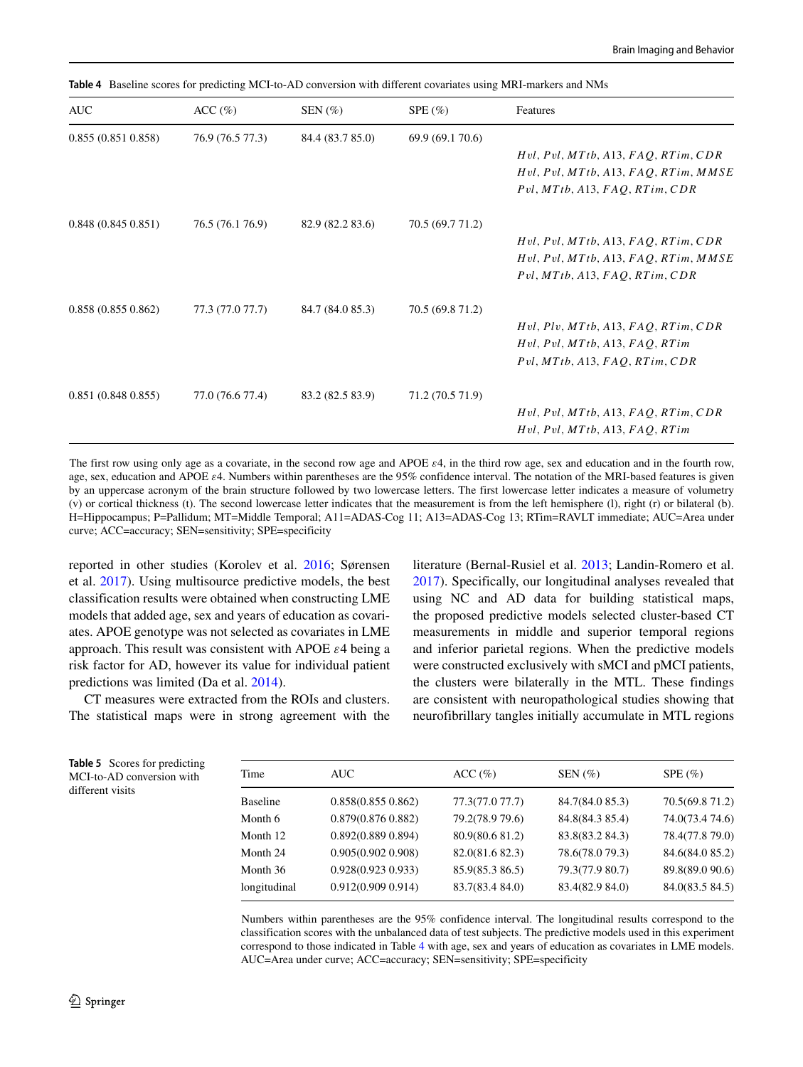<span id="page-7-0"></span>**Table 4** Baseline scores for predicting MCI-to-AD conversion with different covariates using MRI-markers and NMs

| <b>AUC</b>        | $ACC (\%)$       | SEN $(\% )$      | $SPE(\%)$        | Features                                |
|-------------------|------------------|------------------|------------------|-----------------------------------------|
| 0.855(0.8510.858) | 76.9 (76.5 77.3) | 84.4 (83.7 85.0) | 69.9 (69.1 70.6) |                                         |
|                   |                  |                  |                  | Hvl, Pvl, MTtb, A13, FAQ, RTim, CDR     |
|                   |                  |                  |                  | $Hvl$ , Pvl, MTtb, A13, FAQ, RTim, MMSE |
|                   |                  |                  |                  | Pvl, MTtb, A13, FAQ, RTim, CDR          |
| 0.848(0.8450.851) | 76.5 (76.1 76.9) | 82.9 (82.2 83.6) | 70.5 (69.7 71.2) |                                         |
|                   |                  |                  |                  | Hvl, Pvl, MTtb, A13, FAQ, RTim, CDR     |
|                   |                  |                  |                  | Hvl, Pvl, MTtb, A13, FAQ, RTim, MMSE    |
|                   |                  |                  |                  | Pvl, MTtb, A13, FAQ, RTim, CDR          |
| 0.858(0.8550.862) | 77.3 (77.0 77.7) | 84.7 (84.0 85.3) | 70.5 (69.8 71.2) |                                         |
|                   |                  |                  |                  | Hvl, Plv, MTtb, A13, FAQ, RTim, CDR     |
|                   |                  |                  |                  | Hvl, Pvl, MTtb, A13, FAQ, RTim          |
|                   |                  |                  |                  | Pvl, MTtb, A13, FAQ, RTim, CDR          |
| 0.851(0.8480.855) | 77.0 (76.6 77.4) | 83.2 (82.5 83.9) | 71.2 (70.5 71.9) |                                         |
|                   |                  |                  |                  | Hvl, Pvl, MTtb, A13, FAQ, RTim, CDR     |
|                   |                  |                  |                  | Hvl, Pvl, MTtb, A13, FAQ, RTim          |

The first row using only age as a covariate, in the second row age and APOE *ε*4, in the third row age, sex and education and in the fourth row, age, sex, education and APOE *ε*4. Numbers within parentheses are the 95% confidence interval. The notation of the MRI-based features is given by an uppercase acronym of the brain structure followed by two lowercase letters. The first lowercase letter indicates a measure of volumetry (v) or cortical thickness (t). The second lowercase letter indicates that the measurement is from the left hemisphere (l), right (r) or bilateral (b). H=Hippocampus; P=Pallidum; MT=Middle Temporal; A11=ADAS-Cog 11; A13=ADAS-Cog 13; RTim=RAVLT immediate; AUC=Area under curve; ACC=accuracy; SEN=sensitivity; SPE=specificity

reported in other studies (Korolev et al. [2016;](#page-9-3) Sørensen et al. [2017\)](#page-10-6). Using multisource predictive models, the best classification results were obtained when constructing LME models that added age, sex and years of education as covariates. APOE genotype was not selected as covariates in LME approach. This result was consistent with APOE *ε*4 being a risk factor for AD, however its value for individual patient predictions was limited (Da et al. [2014\)](#page-9-2).

CT measures were extracted from the ROIs and clusters. The statistical maps were in strong agreement with the literature (Bernal-Rusiel et al. [2013;](#page-9-10) Landin-Romero et al. [2017\)](#page-10-20). Specifically, our longitudinal analyses revealed that using NC and AD data for building statistical maps, the proposed predictive models selected cluster-based CT measurements in middle and superior temporal regions and inferior parietal regions. When the predictive models were constructed exclusively with sMCI and pMCI patients, the clusters were bilaterally in the MTL. These findings are consistent with neuropathological studies showing that neurofibrillary tangles initially accumulate in MTL regions

<span id="page-7-1"></span>**Table 5** Scores for predicting MCI-to-AD conversion with different visits

| Time            | AUC –                 | ACC(%)          | SEN $(\% )$     | $SPE(\%)$       |
|-----------------|-----------------------|-----------------|-----------------|-----------------|
| <b>Baseline</b> | $0.858(0.855\ 0.862)$ | 77.3(77.0 77.7) | 84.7(84.0 85.3) | 70.5(69.8 71.2) |
| Month 6         | $0.879(0.876\ 0.882)$ | 79.2(78.9 79.6) | 84.8(84.3 85.4) | 74.0(73.4 74.6) |
| Month 12        | $0.892(0.889\ 0.894)$ | 80.9(80.6 81.2) | 83.8(83.2 84.3) | 78.4(77.8 79.0) |
| Month 24        | $0.905(0.902\ 0.908)$ | 82.0(81.6 82.3) | 78.6(78.0 79.3) | 84.6(84.0 85.2) |
| Month 36        | $0.928(0.923\ 0.933)$ | 85.9(85.3 86.5) | 79.3(77.9 80.7) | 89.8(89.0 90.6) |
| longitudinal    | $0.912(0.909\ 0.914)$ | 83.7(83.4 84.0) | 83.4(82.9 84.0) | 84.0(83.5 84.5) |

Numbers within parentheses are the 95% confidence interval. The longitudinal results correspond to the classification scores with the unbalanced data of test subjects. The predictive models used in this experiment correspond to those indicated in Table [4](#page-7-0) with age, sex and years of education as covariates in LME models. AUC=Area under curve; ACC=accuracy; SEN=sensitivity; SPE=specificity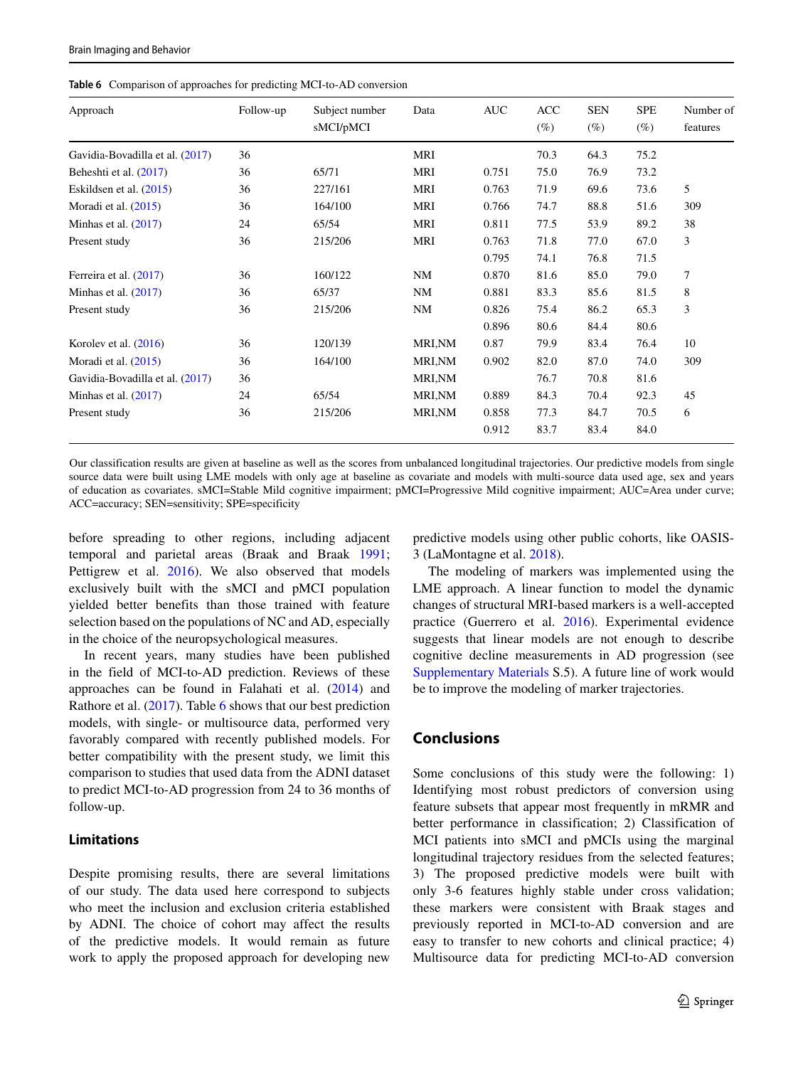<span id="page-8-0"></span>

|  |  |  |  |  | Table 6 Comparison of approaches for predicting MCI-to-AD conversion |
|--|--|--|--|--|----------------------------------------------------------------------|
|--|--|--|--|--|----------------------------------------------------------------------|

| Approach                        | Follow-up | Subject number<br>sMCI/pMCI | Data          | <b>AUC</b> | <b>ACC</b><br>$(\%)$ | <b>SEN</b><br>$(\%)$ | <b>SPE</b><br>$(\%)$ | Number of<br>features |
|---------------------------------|-----------|-----------------------------|---------------|------------|----------------------|----------------------|----------------------|-----------------------|
| Gavidia-Bovadilla et al. (2017) | 36        |                             | MRI           |            | 70.3                 | 64.3                 | 75.2                 |                       |
|                                 |           |                             |               |            |                      |                      |                      |                       |
| Beheshti et al. (2017)          | 36        | 65/71                       | MRI           | 0.751      | 75.0                 | 76.9                 | 73.2                 |                       |
| Eskildsen et al. $(2015)$       | 36        | 227/161                     | MRI           | 0.763      | 71.9                 | 69.6                 | 73.6                 | 5                     |
| Moradi et al. $(2015)$          | 36        | 164/100                     | MRI           | 0.766      | 74.7                 | 88.8                 | 51.6                 | 309                   |
| Minhas et al. $(2017)$          | 24        | 65/54                       | MRI           | 0.811      | 77.5                 | 53.9                 | 89.2                 | 38                    |
| Present study                   | 36        | 215/206                     | MRI           | 0.763      | 71.8                 | 77.0                 | 67.0                 | 3                     |
|                                 |           |                             |               | 0.795      | 74.1                 | 76.8                 | 71.5                 |                       |
| Ferreira et al. (2017)          | 36        | 160/122                     | NM            | 0.870      | 81.6                 | 85.0                 | 79.0                 | 7                     |
| Minhas et al. $(2017)$          | 36        | 65/37                       | NM            | 0.881      | 83.3                 | 85.6                 | 81.5                 | 8                     |
| Present study                   | 36        | 215/206                     | NM            | 0.826      | 75.4                 | 86.2                 | 65.3                 | 3                     |
|                                 |           |                             |               | 0.896      | 80.6                 | 84.4                 | 80.6                 |                       |
| Korolev et al. $(2016)$         | 36        | 120/139                     | <b>MRI,NM</b> | 0.87       | 79.9                 | 83.4                 | 76.4                 | 10                    |
| Moradi et al. (2015)            | 36        | 164/100                     | MRI,NM        | 0.902      | 82.0                 | 87.0                 | 74.0                 | 309                   |
| Gavidia-Bovadilla et al. (2017) | 36        |                             | MRI,NM        |            | 76.7                 | 70.8                 | 81.6                 |                       |
| Minhas et al. $(2017)$          | 24        | 65/54                       | <b>MRI,NM</b> | 0.889      | 84.3                 | 70.4                 | 92.3                 | 45                    |
| Present study                   | 36        | 215/206                     | MRI,NM        | 0.858      | 77.3                 | 84.7                 | 70.5                 | 6                     |
|                                 |           |                             |               | 0.912      | 83.7                 | 83.4                 | 84.0                 |                       |

Our classification results are given at baseline as well as the scores from unbalanced longitudinal trajectories. Our predictive models from single source data were built using LME models with only age at baseline as covariate and models with multi-source data used age, sex and years of education as covariates. sMCI=Stable Mild cognitive impairment; pMCI=Progressive Mild cognitive impairment; AUC=Area under curve; ACC=accuracy; SEN=sensitivity; SPE=specificity

before spreading to other regions, including adjacent temporal and parietal areas (Braak and Braak [1991;](#page-9-19) Pettigrew et al. [2016\)](#page-10-8). We also observed that models exclusively built with the sMCI and pMCI population yielded better benefits than those trained with feature selection based on the populations of NC and AD, especially in the choice of the neuropsychological measures.

In recent years, many studies have been published in the field of MCI-to-AD prediction. Reviews of these approaches can be found in Falahati et al. [\(2014\)](#page-9-20) and Rathore et al. [\(2017\)](#page-10-4). Table [6](#page-8-0) shows that our best prediction models, with single- or multisource data, performed very favorably compared with recently published models. For better compatibility with the present study, we limit this comparison to studies that used data from the ADNI dataset to predict MCI-to-AD progression from 24 to 36 months of follow-up.

#### **Limitations**

Despite promising results, there are several limitations of our study. The data used here correspond to subjects who meet the inclusion and exclusion criteria established by ADNI. The choice of cohort may affect the results of the predictive models. It would remain as future work to apply the proposed approach for developing new predictive models using other public cohorts, like OASIS-3 (LaMontagne et al. [2018\)](#page-9-21).

The modeling of markers was implemented using the LME approach. A linear function to model the dynamic changes of structural MRI-based markers is a well-accepted practice (Guerrero et al. [2016\)](#page-9-22). Experimental evidence suggests that linear models are not enough to describe cognitive decline measurements in AD progression (see Supplementary Materials S.5). A future line of work would be to improve the modeling of marker trajectories.

#### **Conclusions**

Some conclusions of this study were the following: 1) Identifying most robust predictors of conversion using feature subsets that appear most frequently in mRMR and better performance in classification; 2) Classification of MCI patients into sMCI and pMCIs using the marginal longitudinal trajectory residues from the selected features; 3) The proposed predictive models were built with only 3-6 features highly stable under cross validation; these markers were consistent with Braak stages and previously reported in MCI-to-AD conversion and are easy to transfer to new cohorts and clinical practice; 4) Multisource data for predicting MCI-to-AD conversion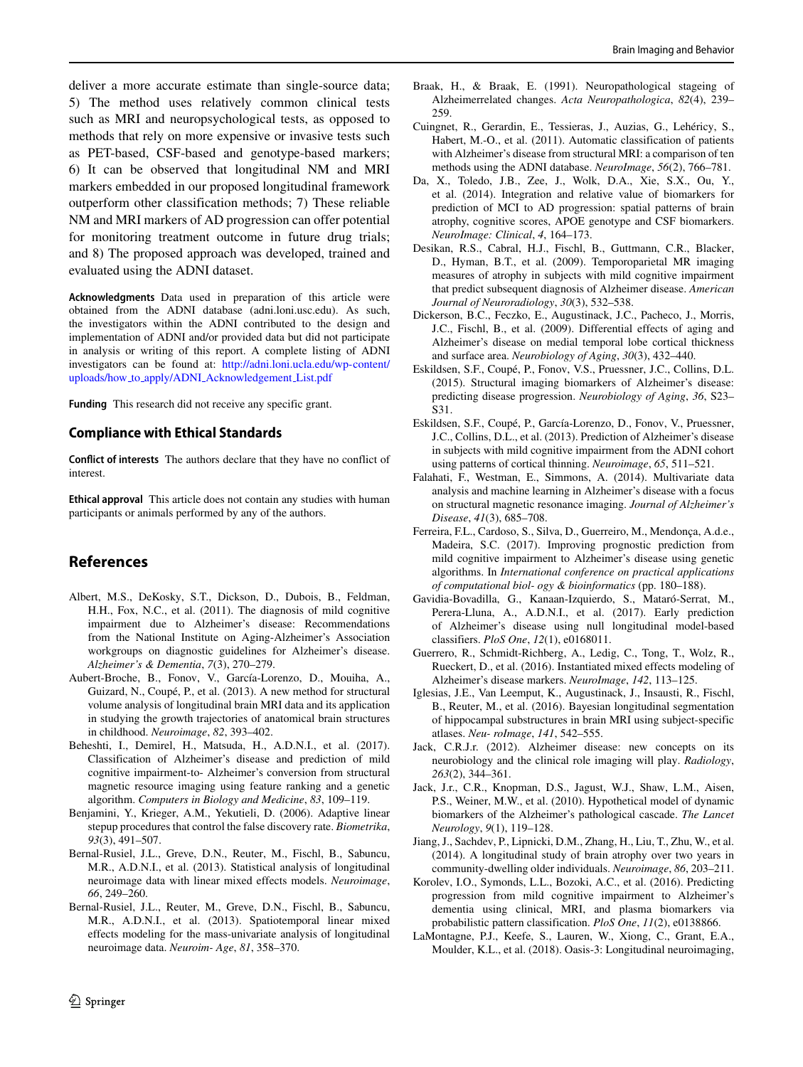deliver a more accurate estimate than single-source data; 5) The method uses relatively common clinical tests such as MRI and neuropsychological tests, as opposed to methods that rely on more expensive or invasive tests such as PET-based, CSF-based and genotype-based markers; 6) It can be observed that longitudinal NM and MRI markers embedded in our proposed longitudinal framework outperform other classification methods; 7) These reliable NM and MRI markers of AD progression can offer potential for monitoring treatment outcome in future drug trials; and 8) The proposed approach was developed, trained and evaluated using the ADNI dataset.

**Acknowledgments** Data used in preparation of this article were obtained from the ADNI database (adni.loni.usc.edu). As such, the investigators within the ADNI contributed to the design and implementation of ADNI and/or provided data but did not participate in analysis or writing of this report. A complete listing of ADNI investigators can be found at: [http://adni.loni.ucla.edu/wp-content/](http://adni.loni.ucla.edu/wp-content/uploads/how_to_apply/ADNI_Acknowledgement_List.pdf) uploads/how to apply/ADNI [Acknowledgement](http://adni.loni.ucla.edu/wp-content/uploads/how_to_apply/ADNI_Acknowledgement_List.pdf) List.pdf

**Funding** This research did not receive any specific grant.

#### **Compliance with Ethical Standards**

**Conflict of interests** The authors declare that they have no conflict of interest.

**Ethical approval** This article does not contain any studies with human participants or animals performed by any of the authors.

#### **References**

- <span id="page-9-6"></span>Albert, M.S., DeKosky, S.T., Dickson, D., Dubois, B., Feldman, H.H., Fox, N.C., et al. (2011). The diagnosis of mild cognitive impairment due to Alzheimer's disease: Recommendations from the National Institute on Aging-Alzheimer's Association workgroups on diagnostic guidelines for Alzheimer's disease. *Alzheimer's & Dementia*, *7*(3), 270–279.
- <span id="page-9-12"></span>Aubert-Broche, B., Fonov, V., García-Lorenzo, D., Mouiha, A., Guizard, N., Coupé, P., et al. (2013). A new method for structural volume analysis of longitudinal brain MRI data and its application in studying the growth trajectories of anatomical brain structures in childhood. *Neuroimage*, *82*, 393–402.
- <span id="page-9-15"></span>Beheshti, I., Demirel, H., Matsuda, H., A.D.N.I., et al. (2017). Classification of Alzheimer's disease and prediction of mild cognitive impairment-to- Alzheimer's conversion from structural magnetic resource imaging using feature ranking and a genetic algorithm. *Computers in Biology and Medicine*, *83*, 109–119.
- <span id="page-9-17"></span>Benjamini, Y., Krieger, A.M., Yekutieli, D. (2006). Adaptive linear stepup procedures that control the false discovery rate. *Biometrika*, *93*(3), 491–507.
- <span id="page-9-14"></span>Bernal-Rusiel, J.L., Greve, D.N., Reuter, M., Fischl, B., Sabuncu, M.R., A.D.N.I., et al. (2013). Statistical analysis of longitudinal neuroimage data with linear mixed effects models. *Neuroimage*, *66*, 249–260.
- <span id="page-9-10"></span>Bernal-Rusiel, J.L., Reuter, M., Greve, D.N., Fischl, B., Sabuncu, M.R., A.D.N.I., et al. (2013). Spatiotemporal linear mixed effects modeling for the mass-univariate analysis of longitudinal neuroimage data. *Neuroim- Age*, *81*, 358–370.
- <span id="page-9-19"></span>Braak, H., & Braak, E. (1991). Neuropathological stageing of Alzheimerrelated changes. *Acta Neuropathologica*, *82*(4), 239– 259.
- <span id="page-9-5"></span>Cuingnet, R., Gerardin, E., Tessieras, J., Auzias, G., Lehericy, S., ´ Habert, M.-O., et al. (2011). Automatic classification of patients with Alzheimer's disease from structural MRI: a comparison of ten methods using the ADNI database. *NeuroImage*, *56*(2), 766–781.
- <span id="page-9-2"></span>Da, X., Toledo, J.B., Zee, J., Wolk, D.A., Xie, S.X., Ou, Y., et al. (2014). Integration and relative value of biomarkers for prediction of MCI to AD progression: spatial patterns of brain atrophy, cognitive scores, APOE genotype and CSF biomarkers. *NeuroImage: Clinical*, *4*, 164–173.
- <span id="page-9-9"></span>Desikan, R.S., Cabral, H.J., Fischl, B., Guttmann, C.R., Blacker, D., Hyman, B.T., et al. (2009). Temporoparietal MR imaging measures of atrophy in subjects with mild cognitive impairment that predict subsequent diagnosis of Alzheimer disease. *American Journal of Neuroradiology*, *30*(3), 532–538.
- <span id="page-9-8"></span>Dickerson, B.C., Feczko, E., Augustinack, J.C., Pacheco, J., Morris, J.C., Fischl, B., et al. (2009). Differential effects of aging and Alzheimer's disease on medial temporal lobe cortical thickness and surface area. *Neurobiology of Aging*, *30*(3), 432–440.
- <span id="page-9-7"></span>Eskildsen, S.F., Coupe, P., Fonov, V.S., Pruessner, J.C., Collins, D.L. ´ (2015). Structural imaging biomarkers of Alzheimer's disease: predicting disease progression. *Neurobiology of Aging*, *36*, S23– S31.
- <span id="page-9-11"></span>Eskildsen, S.F., Coupé, P., García-Lorenzo, D., Fonov, V., Pruessner, J.C., Collins, D.L., et al. (2013). Prediction of Alzheimer's disease in subjects with mild cognitive impairment from the ADNI cohort using patterns of cortical thinning. *Neuroimage*, *65*, 511–521.
- <span id="page-9-20"></span>Falahati, F., Westman, E., Simmons, A. (2014). Multivariate data analysis and machine learning in Alzheimer's disease with a focus on structural magnetic resonance imaging. *Journal of Alzheimer's Disease*, *41*(3), 685–708.
- <span id="page-9-18"></span>Ferreira, F.L., Cardoso, S., Silva, D., Guerreiro, M., Mendonça, A.d.e., Madeira, S.C. (2017). Improving prognostic prediction from mild cognitive impairment to Alzheimer's disease using genetic algorithms. In *International conference on practical applications of computational biol- ogy & bioinformatics* (pp. 180–188).
- <span id="page-9-4"></span>Gavidia-Bovadilla, G., Kanaan-Izquierdo, S., Mataró-Serrat, M., Perera-Lluna, A., A.D.N.I., et al. (2017). Early prediction of Alzheimer's disease using null longitudinal model-based classifiers. *PloS One*, *12*(1), e0168011.
- <span id="page-9-22"></span>Guerrero, R., Schmidt-Richberg, A., Ledig, C., Tong, T., Wolz, R., Rueckert, D., et al. (2016). Instantiated mixed effects modeling of Alzheimer's disease markers. *NeuroImage*, *142*, 113–125.
- <span id="page-9-13"></span>Iglesias, J.E., Van Leemput, K., Augustinack, J., Insausti, R., Fischl, B., Reuter, M., et al. (2016). Bayesian longitudinal segmentation of hippocampal substructures in brain MRI using subject-specific atlases. *Neu- roImage*, *141*, 542–555.
- <span id="page-9-1"></span>Jack, C.R.J.r. (2012). Alzheimer disease: new concepts on its neurobiology and the clinical role imaging will play. *Radiology*, *263*(2), 344–361.
- <span id="page-9-0"></span>Jack, J.r., C.R., Knopman, D.S., Jagust, W.J., Shaw, L.M., Aisen, P.S., Weiner, M.W., et al. (2010). Hypothetical model of dynamic biomarkers of the Alzheimer's pathological cascade. *The Lancet Neurology*, *9*(1), 119–128.
- <span id="page-9-16"></span>Jiang, J., Sachdev, P., Lipnicki, D.M., Zhang, H., Liu, T., Zhu, W., et al. (2014). A longitudinal study of brain atrophy over two years in community-dwelling older individuals. *Neuroimage*, *86*, 203–211.
- <span id="page-9-3"></span>Korolev, I.O., Symonds, L.L., Bozoki, A.C., et al. (2016). Predicting progression from mild cognitive impairment to Alzheimer's dementia using clinical, MRI, and plasma biomarkers via probabilistic pattern classification. *PloS One*, *11*(2), e0138866.
- <span id="page-9-21"></span>LaMontagne, P.J., Keefe, S., Lauren, W., Xiong, C., Grant, E.A., Moulder, K.L., et al. (2018). Oasis-3: Longitudinal neuroimaging,